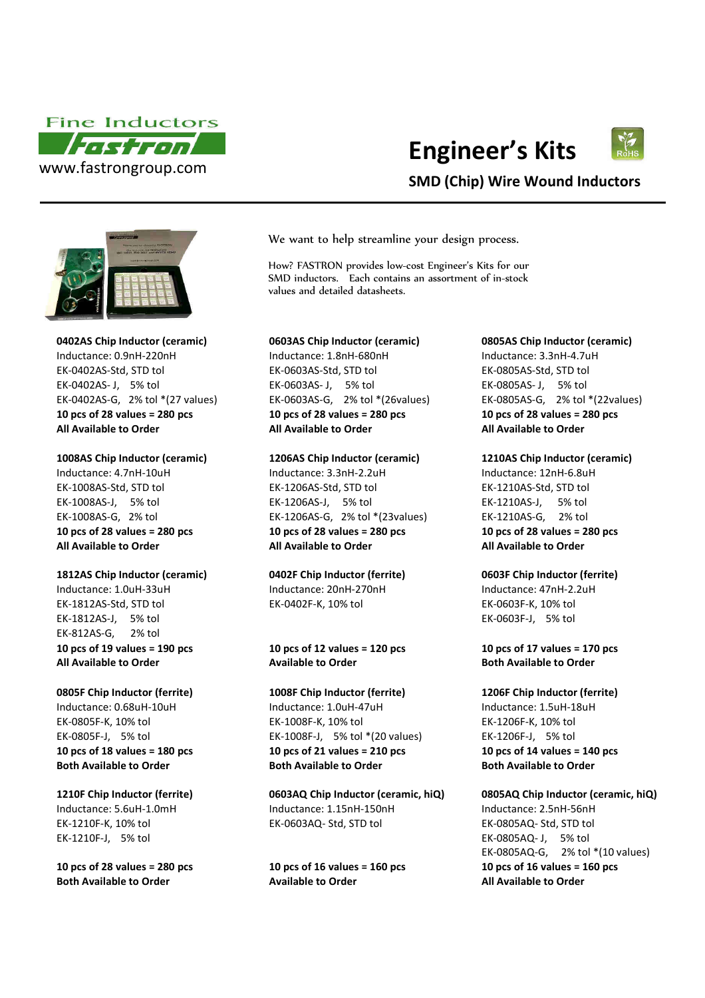

# **Engineer's Kits**



## **SMD (Chip) Wire Wound Inductors**



**1812AS Chip Inductor (ceramic) 0402F Chip Inductor (ferrite) 0603F Chip Inductor (ferrite)**

EK-1812AS-Std, STD tol EK-0402F-K, 10% tol EK-0603F-K, 10% tol EK-1812AS-J, 5% tol EK-0603F-J, 5% tol EK-812AS-G, 2% tol **10 pcs of 19 values = 190 pcs 10 pcs of 12 values = 120 pcs 10 pcs of 17 values = 170 pcs All Available to Order Available to Order Both Available to Order**

EK-1210F-J, 5% tol EK-0805AQ- J, 5% tol

We want to help streamline your design process.

How? FASTRON provides low-cost Engineer's Kits for our SMD inductors. Each contains an assortment of in-stock values and detailed datasheets.

### **0402AS Chip Inductor (ceramic) 0603AS Chip Inductor (ceramic) 0805AS Chip Inductor (ceramic)**

Inductance: 0.9nH-220nH Inductance: 1.8nH-680nH Inductance: 3.3nH-4.7uH EK-0402AS-Std, STD tol EK-0603AS-Std, STD tol EK-0805AS-Std, STD tol EK-0402AS- J, 5% tol EK-0603AS - J, 5% tol EK-0805AS- J, 5% tol EK-0402AS-G, 2% tol \*(27 values) EK-0603AS-G, 2% tol \*(26values) EK-0805AS-G, 2% tol \*(22values) **10 pcs of 28 values = 280 pcs 10 pcs of 28 values = 280 pcs 10 pcs of 28 values = 280 pcs All Available to Order All Available to Order All Available to Order**

Inductance: 4.7nH-10uH Inductance: 3.3nH-2.2uH Inductance: 12nH-6.8uH EK-1008AS-Std, STD tol EK-1206AS-Std, STD tol EK-1210AS-Std, STD tol EK-1008AS-J, 5% tol EK-1206AS-J, 5% tol EK-1210AS-J, 5% tol EK-1008AS-G, 2% tol EK-1206AS-G, 2% tol \*(23values) EK-1210AS-G, 2% tol **10 pcs of 28 values = 280 pcs 10 pcs of 28 values = 280 pcs 10 pcs of 28 values = 280 pcs All Available to Order All Available to Order All Available to Order**

Inductance: 1.0uH-33uH Inductance: 20nH-270nH Inductance: 47nH-2.2uH

**0805F Chip Inductor (ferrite) 1008F Chip Inductor (ferrite) 1206F Chip Inductor (ferrite)** Inductance: 0.68uH-10uH Inductance: 1.0uH-47uH Inductance: 1.5uH-18uH EK-0805F-K, 10% tol EK-1008F-K, 10% tol EK-1206F-K, 10% tol EK-0805F-J, 5% tol EK-1008F-J, 5% tol \*(20 values) EK-1206F-J, 5% tol **10 pcs of 18 values = 180 pcs 10 pcs of 21 values = 210 pcs 10 pcs of 14 values = 140 pcs Both Available to Order Both Available to Order Both Available to Order**

**1210F Chip Inductor (ferrite) 0603AQ Chip Inductor (ceramic, hiQ) 0805AQ Chip Inductor (ceramic, hiQ)** Inductance: 5.6uH-1.0mH Inductance: 1.15nH-150nH Inductance: 2.5nH-56nH EK-1210F-K, 10% tol EK-0603AQ- Std, STD tol EK-0805AQ- Std, STD tol

**Both Available to Order Available to Order All Available to Order**

**1008AS Chip Inductor (ceramic) 1206AS Chip Inductor (ceramic) 1210AS Chip Inductor (ceramic)**

EK-0805AQ-G, 2% tol \*(10 values) **10 pcs of 28 values = 280 pcs 10 pcs of 16 values = 160 pcs 10 pcs of 16 values = 160 pcs**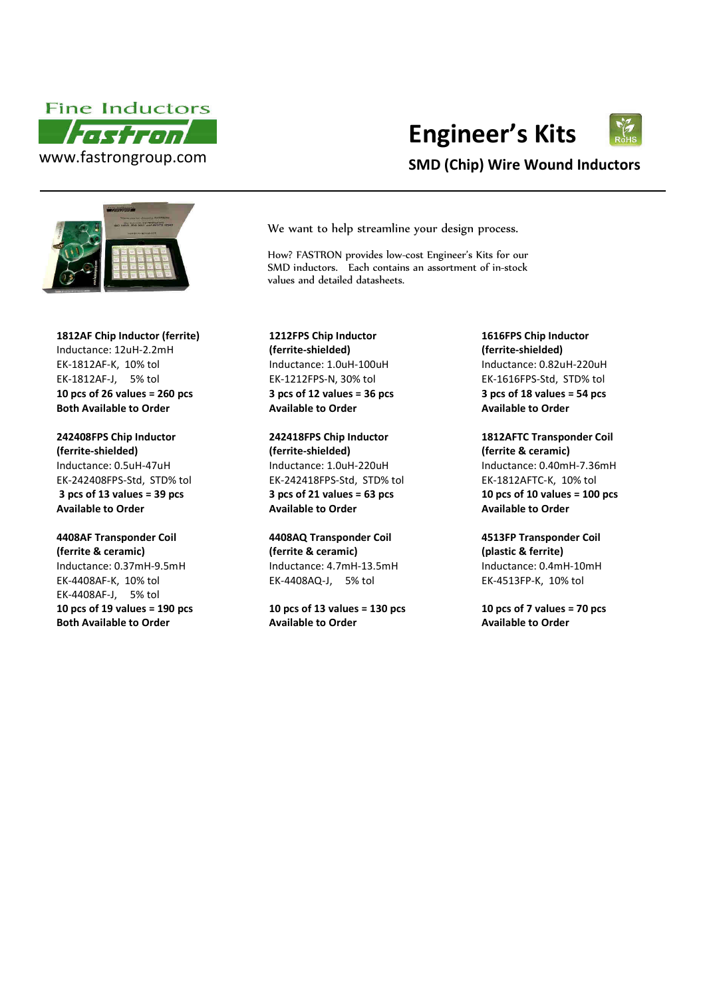



**1812AF Chip Inductor (ferrite)** Inductance: 12uH-2.2mH EK-1812AF-K, 10% tol Inductance: 1.0uH-100uH Inductance: 0.82uH-220uH EK-1812AF-J, 5% tol **10 pcs of 26 values = 260 pcs Both Available to Order Available to Order Available to Order**

**242408FPS Chip Inductor (ferrite-shielded)**  EK-242408FPS-Std, STD% tol **3 pcs of 13 values = 39 pcs Available to Order**

### **4408AF Transponder Coil (ferrite & ceramic)**  Inductance: 0.37mH-9.5mH Inductance: 4.7mH-13.5mH Inductance: 0.4mH-10mH EK-4408AF-K, 10% tol EK-4408AF-J, 5% tol **10 pcs of 19 values = 190 pcs**

**Both Available to Order** 

**Engineer's Kits**



We want to help streamline your design process.

How? FASTRON provides low-cost Engineer's Kits for our SMD inductors. Each contains an assortment of in-stock values and detailed datasheets.

**1212FPS Chip Inductor (ferrite-shielded)**  EK-1212FPS-N, 30% tol **3 pcs of 12 values = 36 pcs**

**242418FPS Chip Inductor (ferrite-shielded)**  Inductance: 0.5uH-47uH Inductance: 1.0uH-220uH Inductance: 0.40mH-7.36mH EK-242418FPS-Std, STD% tol **3 pcs of 21 values = 63 pcs Available to Order** 

> **4408AQ Transponder Coil (ferrite & ceramic)**  EK-4408AQ-J, 5% tol

**10 pcs of 13 values = 130 pcs Available to Order** 

**1616FPS Chip Inductor (ferrite-shielded)**  EK-1616FPS-Std, STD% tol **3 pcs of 18 values = 54 pcs**

**1812AFTC Transponder Coil (ferrite & ceramic)**  EK-1812AFTC-K, 10% tol **10 pcs of 10 values = 100 pcs Available to Order**

**4513FP Transponder Coil (plastic & ferrite)**  EK-4513FP-K, 10% tol

**10 pcs of 7 values = 70 pcs Available to Order**